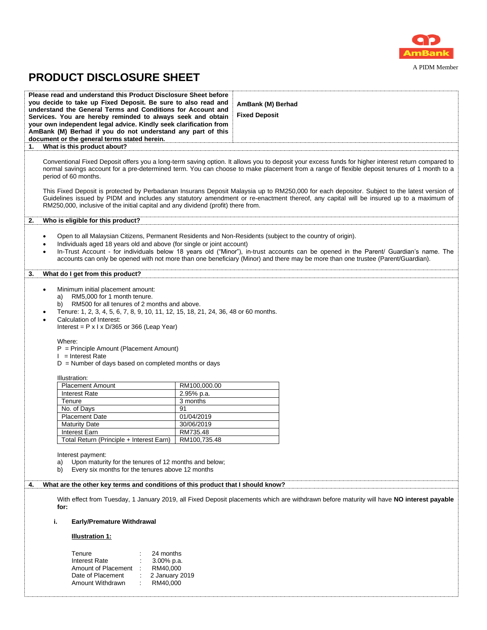

### A PIDM Member

ļ

# **PRODUCT DISCLOSURE SHEET**

| Please read and understand this Product Disclosure Sheet before<br>you decide to take up Fixed Deposit. Be sure to also read and<br>understand the General Terms and Conditions for Account and<br>Services. You are hereby reminded to always seek and obtain<br>your own independent legal advice. Kindly seek clarification from<br>AmBank (M) Berhad if you do not understand any part of this<br>document or the general terms stated herein.<br>What is this product about?<br>1.       | AmBank (M) Berhad<br><b>Fixed Deposit</b>                                                                                                                                                                                                                                                                                                                                                                                                                                                                                                                                                   |
|-----------------------------------------------------------------------------------------------------------------------------------------------------------------------------------------------------------------------------------------------------------------------------------------------------------------------------------------------------------------------------------------------------------------------------------------------------------------------------------------------|---------------------------------------------------------------------------------------------------------------------------------------------------------------------------------------------------------------------------------------------------------------------------------------------------------------------------------------------------------------------------------------------------------------------------------------------------------------------------------------------------------------------------------------------------------------------------------------------|
|                                                                                                                                                                                                                                                                                                                                                                                                                                                                                               |                                                                                                                                                                                                                                                                                                                                                                                                                                                                                                                                                                                             |
| period of 60 months.<br>RM250,000, inclusive of the initial capital and any dividend (profit) there from.                                                                                                                                                                                                                                                                                                                                                                                     | Conventional Fixed Deposit offers you a long-term saving option. It allows you to deposit your excess funds for higher interest return compared to<br>normal savings account for a pre-determined term. You can choose to make placement from a range of flexible deposit tenures of 1 month to a<br>This Fixed Deposit is protected by Perbadanan Insurans Deposit Malaysia up to RM250,000 for each depositor. Subject to the latest version of<br>Guidelines issued by PIDM and includes any statutory amendment or re-enactment thereof, any capital will be insured up to a maximum of |
| Who is eligible for this product?<br>2.                                                                                                                                                                                                                                                                                                                                                                                                                                                       |                                                                                                                                                                                                                                                                                                                                                                                                                                                                                                                                                                                             |
|                                                                                                                                                                                                                                                                                                                                                                                                                                                                                               |                                                                                                                                                                                                                                                                                                                                                                                                                                                                                                                                                                                             |
| $\bullet$<br>Individuals aged 18 years old and above (for single or joint account)<br>$\bullet$<br>$\bullet$                                                                                                                                                                                                                                                                                                                                                                                  | Open to all Malaysian Citizens, Permanent Residents and Non-Residents (subject to the country of origin).<br>In-Trust Account - for individuals below 18 years old ("Minor"), in-trust accounts can be opened in the Parent/ Guardian's name. The<br>accounts can only be opened with not more than one beneficiary (Minor) and there may be more than one trustee (Parent/Guardian).                                                                                                                                                                                                       |
| What do I get from this product?<br>3.                                                                                                                                                                                                                                                                                                                                                                                                                                                        |                                                                                                                                                                                                                                                                                                                                                                                                                                                                                                                                                                                             |
| Minimum initial placement amount:<br>$\bullet$<br>RM5,000 for 1 month tenure.<br>a)<br>RM500 for all tenures of 2 months and above.<br>b)<br>Tenure: 1, 2, 3, 4, 5, 6, 7, 8, 9, 10, 11, 12, 15, 18, 21, 24, 36, 48 or 60 months.<br>$\bullet$<br>Calculation of Interest:<br>Interest = $P \times I \times D/365$ or 366 (Leap Year)<br>Where:<br>$P = Principle$ Amount (Placement Amount)<br>$l =$ Interest Rate<br>$D =$ Number of days based on completed months or days<br>Illustration: |                                                                                                                                                                                                                                                                                                                                                                                                                                                                                                                                                                                             |
| <b>Placement Amount</b>                                                                                                                                                                                                                                                                                                                                                                                                                                                                       | RM100,000.00                                                                                                                                                                                                                                                                                                                                                                                                                                                                                                                                                                                |
| <b>Interest Rate</b>                                                                                                                                                                                                                                                                                                                                                                                                                                                                          | 2.95% p.a.                                                                                                                                                                                                                                                                                                                                                                                                                                                                                                                                                                                  |
| Tenure                                                                                                                                                                                                                                                                                                                                                                                                                                                                                        | 3 months                                                                                                                                                                                                                                                                                                                                                                                                                                                                                                                                                                                    |
| No. of Days                                                                                                                                                                                                                                                                                                                                                                                                                                                                                   | 91                                                                                                                                                                                                                                                                                                                                                                                                                                                                                                                                                                                          |
| <b>Placement Date</b>                                                                                                                                                                                                                                                                                                                                                                                                                                                                         | 01/04/2019                                                                                                                                                                                                                                                                                                                                                                                                                                                                                                                                                                                  |
| <b>Maturity Date</b>                                                                                                                                                                                                                                                                                                                                                                                                                                                                          | 30/06/2019                                                                                                                                                                                                                                                                                                                                                                                                                                                                                                                                                                                  |
| Interest Earn                                                                                                                                                                                                                                                                                                                                                                                                                                                                                 | RM735.48                                                                                                                                                                                                                                                                                                                                                                                                                                                                                                                                                                                    |
| Total Return (Principle + Interest Earn)                                                                                                                                                                                                                                                                                                                                                                                                                                                      | RM100,735.48                                                                                                                                                                                                                                                                                                                                                                                                                                                                                                                                                                                |
| Interest payment:<br>Upon maturity for the tenures of 12 months and below;<br>a)<br>Every six months for the tenures above 12 months<br>b)<br>What are the other key terms and conditions of this product that I should know?<br>4.                                                                                                                                                                                                                                                           |                                                                                                                                                                                                                                                                                                                                                                                                                                                                                                                                                                                             |
| for:                                                                                                                                                                                                                                                                                                                                                                                                                                                                                          | With effect from Tuesday, 1 January 2019, all Fixed Deposit placements which are withdrawn before maturity will have NO interest payable                                                                                                                                                                                                                                                                                                                                                                                                                                                    |
| i.<br><b>Early/Premature Withdrawal</b>                                                                                                                                                                                                                                                                                                                                                                                                                                                       |                                                                                                                                                                                                                                                                                                                                                                                                                                                                                                                                                                                             |
| <b>Illustration 1:</b>                                                                                                                                                                                                                                                                                                                                                                                                                                                                        |                                                                                                                                                                                                                                                                                                                                                                                                                                                                                                                                                                                             |
| Tenure<br>24 months<br><b>Interest Rate</b><br>$3.00\%$ p.a.<br>Amount of Placement<br>RM40,000<br>Date of Placement<br>2 January 2019<br>Amount Withdrawn<br>RM40,000                                                                                                                                                                                                                                                                                                                        |                                                                                                                                                                                                                                                                                                                                                                                                                                                                                                                                                                                             |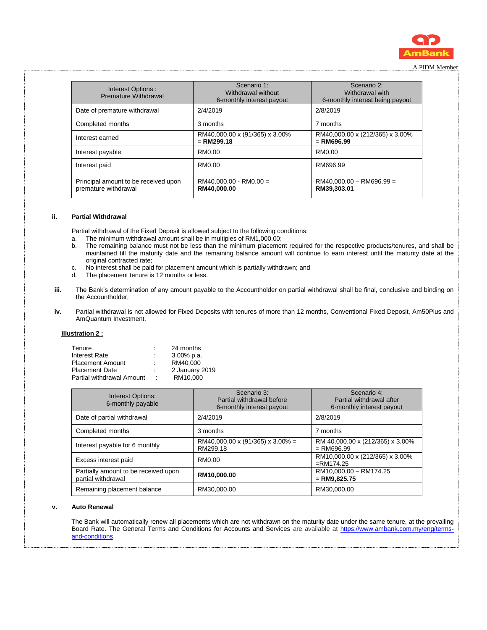

| Interest Options:<br>Premature Withdrawal                    | Scenario 1:<br>Withdrawal without<br>6-monthly interest payout | Scenario 2:<br>Withdrawal with<br>6-monthly interest being payout |
|--------------------------------------------------------------|----------------------------------------------------------------|-------------------------------------------------------------------|
| Date of premature withdrawal                                 | 2/4/2019                                                       | 2/8/2019                                                          |
| Completed months                                             | 3 months                                                       | 7 months                                                          |
| Interest earned                                              | RM40,000.00 x (91/365) x 3.00%<br>$=$ RM299.18                 | RM40,000.00 x (212/365) x 3.00%<br>$=$ RM696.99                   |
| Interest payable                                             | RM0.00                                                         | RM0.00                                                            |
| Interest paid                                                | RM0.00                                                         | RM696.99                                                          |
| Principal amount to be received upon<br>premature withdrawal | $RM40.000.00 - RM0.00 =$<br>RM40.000.00                        | $RM40.000.00 - RM696.99 =$<br>RM39,303.01                         |

#### **ii. Partial Withdrawal**

Partial withdrawal of the Fixed Deposit is allowed subject to the following conditions:

- a. The minimum withdrawal amount shall be in multiples of RM1,000.00;
- b. The remaining balance must not be less than the minimum placement required for the respective products/tenures, and shall be maintained till the maturity date and the remaining balance amount will continue to earn interest until the maturity date at the original contracted rate;
- c. No interest shall be paid for placement amount which is partially withdrawn; and
- d. The placement tenure is 12 months or less.
- **iii.** The Bank's determination of any amount payable to the Accountholder on partial withdrawal shall be final, conclusive and binding on the Accountholder;
- **iv.** Partial withdrawal is not allowed for Fixed Deposits with tenures of more than 12 months, Conventional Fixed Deposit, Am50Plus and AmQuantum Investment.

#### **Illustration 2 :**

|         | 24 months      |
|---------|----------------|
| ÷       | $3.00\%$ p.a.  |
|         | RM40.000       |
| ٠       | 2 January 2019 |
| $\cdot$ | RM10.000       |
|         |                |

| <b>Interest Options:</b><br>6-monthly payable              | Scenario 3:<br>Partial withdrawal before<br>6-monthly interest payout | Scenario 4:<br>Partial withdrawal after<br>6-monthly interest payout |
|------------------------------------------------------------|-----------------------------------------------------------------------|----------------------------------------------------------------------|
| Date of partial withdrawal                                 | 2/4/2019                                                              | 2/8/2019                                                             |
| Completed months                                           | 3 months                                                              | 7 months                                                             |
| Interest payable for 6 monthly                             | $RM40,000.00 \times (91/365) \times 3.00\% =$<br>RM299.18             | RM 40,000.00 x (212/365) x 3.00%<br>$=$ RM696.99                     |
| Excess interest paid                                       | RM0.00                                                                | RM10,000.00 x (212/365) x 3.00%<br>$=$ RM174.25                      |
| Partially amount to be received upon<br>partial withdrawal | RM10,000.00                                                           | RM10,000.00 - RM174.25<br>$=$ RM9,825.75                             |
| Remaining placement balance                                | RM30,000.00                                                           | RM30,000.00                                                          |

#### **v. Auto Renewal**

 The Bank will automatically renew all placements which are not withdrawn on the maturity date under the same tenure, at the prevailing Board Rate. The General Terms and Conditions for Accounts and Services are available at [https://www.ambank.com.my/eng/terms](https://www.ambank.com.my/eng/terms-and-conditions)[and-conditions.](https://www.ambank.com.my/eng/terms-and-conditions)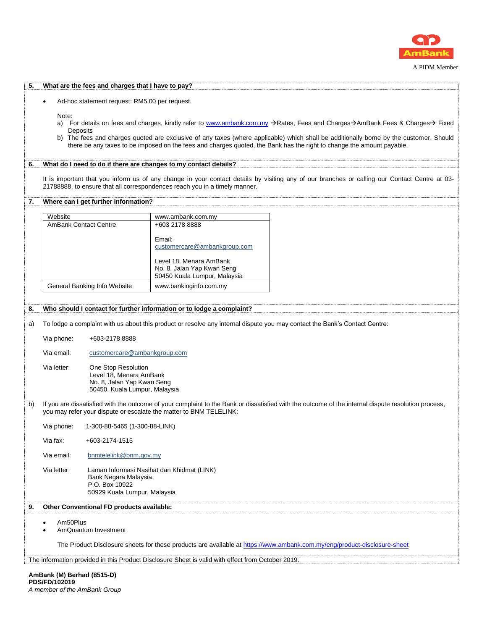

A PIDM Member

| 5. |                                                                                                                                                                                                                                                                                                                                                                                                                     | What are the fees and charges that I have to pay? |                                                                                                   |                                                                                                                                               |  |  |  |
|----|---------------------------------------------------------------------------------------------------------------------------------------------------------------------------------------------------------------------------------------------------------------------------------------------------------------------------------------------------------------------------------------------------------------------|---------------------------------------------------|---------------------------------------------------------------------------------------------------|-----------------------------------------------------------------------------------------------------------------------------------------------|--|--|--|
|    | Ad-hoc statement request: RM5.00 per request.<br>$\bullet$                                                                                                                                                                                                                                                                                                                                                          |                                                   |                                                                                                   |                                                                                                                                               |  |  |  |
|    | Note:<br>a) For details on fees and charges, kindly refer to www.ambank.com.my >Rates, Fees and Charges→AmBank Fees & Charges→ Fixed<br>Deposits<br>b) The fees and charges quoted are exclusive of any taxes (where applicable) which shall be additionally borne by the customer. Should<br>there be any taxes to be imposed on the fees and charges quoted, the Bank has the right to change the amount payable. |                                                   |                                                                                                   |                                                                                                                                               |  |  |  |
| 6. |                                                                                                                                                                                                                                                                                                                                                                                                                     |                                                   | What do I need to do if there are changes to my contact details?                                  |                                                                                                                                               |  |  |  |
|    |                                                                                                                                                                                                                                                                                                                                                                                                                     |                                                   | 21788888, to ensure that all correspondences reach you in a timely manner.                        | It is important that you inform us of any change in your contact details by visiting any of our branches or calling our Contact Centre at 03- |  |  |  |
| 7. |                                                                                                                                                                                                                                                                                                                                                                                                                     | Where can I get further information?              |                                                                                                   |                                                                                                                                               |  |  |  |
|    | Website                                                                                                                                                                                                                                                                                                                                                                                                             |                                                   | www.ambank.com.my                                                                                 |                                                                                                                                               |  |  |  |
|    | <b>AmBank Contact Centre</b>                                                                                                                                                                                                                                                                                                                                                                                        |                                                   | +603 2178 8888                                                                                    |                                                                                                                                               |  |  |  |
|    |                                                                                                                                                                                                                                                                                                                                                                                                                     |                                                   | Email:<br>customercare@ambankgroup.com                                                            |                                                                                                                                               |  |  |  |
|    |                                                                                                                                                                                                                                                                                                                                                                                                                     |                                                   | Level 18, Menara AmBank<br>No. 8, Jalan Yap Kwan Seng<br>50450 Kuala Lumpur, Malaysia             |                                                                                                                                               |  |  |  |
|    |                                                                                                                                                                                                                                                                                                                                                                                                                     | General Banking Info Website                      | www.bankinginfo.com.my                                                                            |                                                                                                                                               |  |  |  |
| 8. |                                                                                                                                                                                                                                                                                                                                                                                                                     |                                                   | Who should I contact for further information or to lodge a complaint?                             |                                                                                                                                               |  |  |  |
| a) |                                                                                                                                                                                                                                                                                                                                                                                                                     |                                                   |                                                                                                   | To lodge a complaint with us about this product or resolve any internal dispute you may contact the Bank's Contact Centre:                    |  |  |  |
|    | Via phone:                                                                                                                                                                                                                                                                                                                                                                                                          | +603-2178 8888                                    |                                                                                                   |                                                                                                                                               |  |  |  |
|    | Via email:                                                                                                                                                                                                                                                                                                                                                                                                          | customercare@ambankgroup.com                      |                                                                                                   |                                                                                                                                               |  |  |  |
|    | Via letter:<br>One Stop Resolution<br>Level 18, Menara AmBank<br>No. 8, Jalan Yap Kwan Seng<br>50450, Kuala Lumpur, Malaysia                                                                                                                                                                                                                                                                                        |                                                   |                                                                                                   |                                                                                                                                               |  |  |  |
| b) | If you are dissatisfied with the outcome of your complaint to the Bank or dissatisfied with the outcome of the internal dispute resolution process,<br>you may refer your dispute or escalate the matter to BNM TELELINK:                                                                                                                                                                                           |                                                   |                                                                                                   |                                                                                                                                               |  |  |  |
|    | Via phone:                                                                                                                                                                                                                                                                                                                                                                                                          | 1-300-88-5465 (1-300-88-LINK)                     |                                                                                                   |                                                                                                                                               |  |  |  |
|    | Via fax:                                                                                                                                                                                                                                                                                                                                                                                                            | +603-2174-1515                                    |                                                                                                   |                                                                                                                                               |  |  |  |
|    | Via email:                                                                                                                                                                                                                                                                                                                                                                                                          | bnmtelelink@bnm.gov.my                            |                                                                                                   |                                                                                                                                               |  |  |  |
|    | Via letter:<br>Laman Informasi Nasihat dan Khidmat (LINK)<br>Bank Negara Malaysia<br>P.O. Box 10922<br>50929 Kuala Lumpur, Malaysia                                                                                                                                                                                                                                                                                 |                                                   |                                                                                                   |                                                                                                                                               |  |  |  |
| 9. |                                                                                                                                                                                                                                                                                                                                                                                                                     | Other Conventional FD products available:         |                                                                                                   |                                                                                                                                               |  |  |  |
|    | Am50Plus<br>$\bullet$<br>$\bullet$                                                                                                                                                                                                                                                                                                                                                                                  | AmQuantum Investment                              |                                                                                                   |                                                                                                                                               |  |  |  |
|    |                                                                                                                                                                                                                                                                                                                                                                                                                     |                                                   |                                                                                                   | The Product Disclosure sheets for these products are available at https://www.ambank.com.my/eng/product-disclosure-sheet                      |  |  |  |
|    |                                                                                                                                                                                                                                                                                                                                                                                                                     |                                                   | The information provided in this Product Disclosure Sheet is valid with effect from October 2019. |                                                                                                                                               |  |  |  |
|    |                                                                                                                                                                                                                                                                                                                                                                                                                     |                                                   |                                                                                                   |                                                                                                                                               |  |  |  |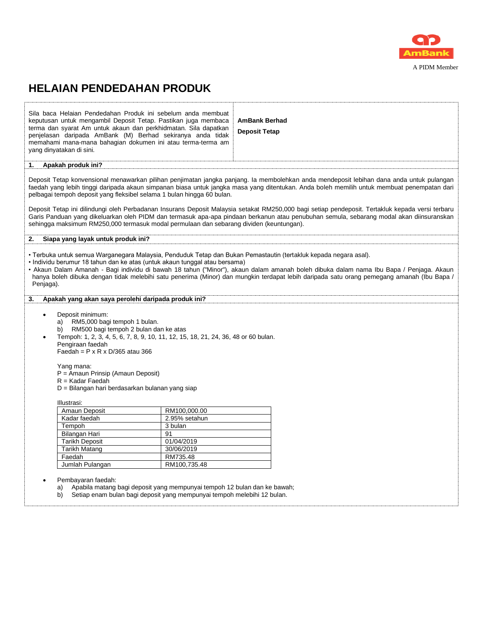

## **HELAIAN PENDEDAHAN PRODUK**

| Sila baca Helaian Pendedahan Produk ini sebelum anda membuat<br>keputusan untuk mengambil Deposit Tetap. Pastikan juga membaca<br>terma dan syarat Am untuk akaun dan perkhidmatan. Sila dapatkan<br>penjelasan daripada AmBank (M) Berhad sekiranya anda tidak<br>memahami mana-mana bahagian dokumen ini atau terma-terma am<br>yang dinyatakan di sini.                                                                                                                                                                                                                                   |                                                                                                                                                                                                                                                                                                                                                                                                                                                                                                                                                                                                                                                                                                                                                           | <b>AmBank Berhad</b><br><b>Deposit Tetap</b>                                                                                                                                                                                                                                                                                                                                                            |  |  |  |  |  |
|----------------------------------------------------------------------------------------------------------------------------------------------------------------------------------------------------------------------------------------------------------------------------------------------------------------------------------------------------------------------------------------------------------------------------------------------------------------------------------------------------------------------------------------------------------------------------------------------|-----------------------------------------------------------------------------------------------------------------------------------------------------------------------------------------------------------------------------------------------------------------------------------------------------------------------------------------------------------------------------------------------------------------------------------------------------------------------------------------------------------------------------------------------------------------------------------------------------------------------------------------------------------------------------------------------------------------------------------------------------------|---------------------------------------------------------------------------------------------------------------------------------------------------------------------------------------------------------------------------------------------------------------------------------------------------------------------------------------------------------------------------------------------------------|--|--|--|--|--|
| Apakah produk ini?<br>1.                                                                                                                                                                                                                                                                                                                                                                                                                                                                                                                                                                     |                                                                                                                                                                                                                                                                                                                                                                                                                                                                                                                                                                                                                                                                                                                                                           |                                                                                                                                                                                                                                                                                                                                                                                                         |  |  |  |  |  |
|                                                                                                                                                                                                                                                                                                                                                                                                                                                                                                                                                                                              | Deposit Tetap konvensional menawarkan pilihan penjimatan jangka panjang. Ia membolehkan anda mendeposit lebihan dana anda untuk pulangan<br>faedah yang lebih tinggi daripada akaun simpanan biasa untuk jangka masa yang ditentukan. Anda boleh memilih untuk membuat penempatan dari<br>pelbagai tempoh deposit yang fleksibel selama 1 bulan hingga 60 bulan.<br>Deposit Tetap ini dilindungi oleh Perbadanan Insurans Deposit Malaysia setakat RM250,000 bagi setiap pendeposit. Tertakluk kepada versi terbaru<br>Garis Panduan yang dikeluarkan oleh PIDM dan termasuk apa-apa pindaan berkanun atau penubuhan semula, sebarang modal akan diinsuranskan<br>sehingga maksimum RM250,000 termasuk modal permulaan dan sebarang dividen (keuntungan). |                                                                                                                                                                                                                                                                                                                                                                                                         |  |  |  |  |  |
| Siapa yang layak untuk produk ini?<br>2.                                                                                                                                                                                                                                                                                                                                                                                                                                                                                                                                                     |                                                                                                                                                                                                                                                                                                                                                                                                                                                                                                                                                                                                                                                                                                                                                           |                                                                                                                                                                                                                                                                                                                                                                                                         |  |  |  |  |  |
| • Individu berumur 18 tahun dan ke atas (untuk akaun tunggal atau bersama)<br>Penjaga).<br>Apakah yang akan saya perolehi daripada produk ini?<br>3.                                                                                                                                                                                                                                                                                                                                                                                                                                         |                                                                                                                                                                                                                                                                                                                                                                                                                                                                                                                                                                                                                                                                                                                                                           | • Terbuka untuk semua Warganegara Malaysia, Penduduk Tetap dan Bukan Pemastautin (tertakluk kepada negara asal).<br>• Akaun Dalam Amanah - Bagi individu di bawah 18 tahun ("Minor"), akaun dalam amanah boleh dibuka dalam nama Ibu Bapa / Penjaga. Akaun<br>hanya boleh dibuka dengan tidak melebihi satu penerima (Minor) dan mungkin terdapat lebih daripada satu orang pemegang amanah (Ibu Bapa / |  |  |  |  |  |
| Deposit minimum:<br>$\bullet$<br>RM5,000 bagi tempoh 1 bulan.<br>a)<br>RM500 bagi tempoh 2 bulan dan ke atas<br>b)<br>Tempoh: 1, 2, 3, 4, 5, 6, 7, 8, 9, 10, 11, 12, 15, 18, 21, 24, 36, 48 or 60 bulan.<br>$\bullet$<br>Pengiraan faedah<br>Faedah = $P \times R \times D/365$ atau 366<br>Yang mana:<br>P = Amaun Prinsip (Amaun Deposit)<br>$R =$ Kadar Faedah<br>D = Bilangan hari berdasarkan bulanan yang siap<br>Illustrasi:<br>Amaun Deposit<br>Kadar faedah<br>Tempoh<br>Bilangan Hari<br><b>Tarikh Deposit</b><br>Tarikh Matang<br>Faedah<br>Jumlah Pulangan<br>Pembayaran faedah: | RM100,000.00<br>2.95% setahun<br>3 bulan<br>91<br>01/04/2019<br>30/06/2019<br>RM735.48<br>RM100,735.48                                                                                                                                                                                                                                                                                                                                                                                                                                                                                                                                                                                                                                                    |                                                                                                                                                                                                                                                                                                                                                                                                         |  |  |  |  |  |
| Apabila matang bagi deposit yang mempunyai tempoh 12 bulan dan ke bawah;<br>a)<br>Setiap enam bulan bagi deposit yang mempunyai tempoh melebihi 12 bulan.<br>b)                                                                                                                                                                                                                                                                                                                                                                                                                              |                                                                                                                                                                                                                                                                                                                                                                                                                                                                                                                                                                                                                                                                                                                                                           |                                                                                                                                                                                                                                                                                                                                                                                                         |  |  |  |  |  |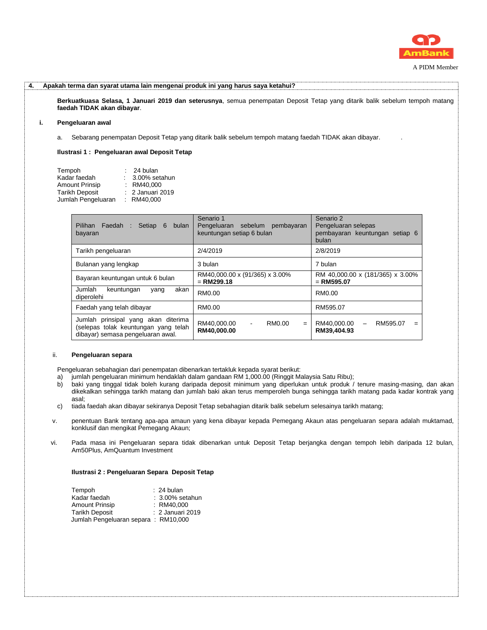

| 4. |    | Apakah terma dan syarat utama lain mengenai produk ini yang harus saya ketahui?                                                                             |                                                                          |                                                                             |  |  |  |  |  |  |
|----|----|-------------------------------------------------------------------------------------------------------------------------------------------------------------|--------------------------------------------------------------------------|-----------------------------------------------------------------------------|--|--|--|--|--|--|
|    |    | Berkuatkuasa Selasa, 1 Januari 2019 dan seterusnya, semua penempatan Deposit Tetap yang ditarik balik sebelum tempoh matang<br>faedah TIDAK akan dibayar.   |                                                                          |                                                                             |  |  |  |  |  |  |
|    | i. | Pengeluaran awal                                                                                                                                            |                                                                          |                                                                             |  |  |  |  |  |  |
|    |    | Sebarang penempatan Deposit Tetap yang ditarik balik sebelum tempoh matang faedah TIDAK akan dibayar.<br>а.                                                 |                                                                          |                                                                             |  |  |  |  |  |  |
|    |    | Ilustrasi 1: Pengeluaran awal Deposit Tetap                                                                                                                 |                                                                          |                                                                             |  |  |  |  |  |  |
|    |    | Tempoh<br>$: 24$ bulan<br>Kadar faedah<br>: 3.00% setahun<br>Amount Prinsip : RM40,000<br>2 Januari 2019<br>Tarikh Deposit<br>Jumlah Pengeluaran : RM40,000 |                                                                          |                                                                             |  |  |  |  |  |  |
|    |    | Pilihan Faedah : Setiap 6<br>bulan<br>bayaran                                                                                                               | Senario 1<br>Pengeluaran sebelum pembayaran<br>keuntungan setiap 6 bulan | Senario 2<br>Pengeluaran selepas<br>pembayaran keuntungan setiap 6<br>bulan |  |  |  |  |  |  |
|    |    | Tarikh pengeluaran                                                                                                                                          | 2/4/2019                                                                 | 2/8/2019                                                                    |  |  |  |  |  |  |
|    |    | Bulanan yang lengkap                                                                                                                                        | 3 bulan                                                                  | 7 bulan                                                                     |  |  |  |  |  |  |
|    |    | Bayaran keuntungan untuk 6 bulan                                                                                                                            | RM40,000.00 x (91/365) x 3.00%<br>$=$ RM299.18                           | RM 40,000.00 x (181/365) x 3.00%<br>$=$ RM595.07                            |  |  |  |  |  |  |
|    |    | Jumlah<br>akan<br>keuntungan<br>yang<br>diperolehi                                                                                                          | RM0.00                                                                   | RM0.00                                                                      |  |  |  |  |  |  |
|    |    |                                                                                                                                                             |                                                                          |                                                                             |  |  |  |  |  |  |

| Faedah yang telah dibayar                                                                                        | RM0.00                     |                |        | RM595.07                       |                          |          |  |
|------------------------------------------------------------------------------------------------------------------|----------------------------|----------------|--------|--------------------------------|--------------------------|----------|--|
| Jumlah prinsipal yang akan diterima<br>(selepas tolak keuntungan yang telah<br>dibayar) semasa pengeluaran awal. | RM40.000.00<br>RM40.000.00 | $\blacksquare$ | RM0.00 | $=$ RM40.000.00<br>RM39.404.93 | $\overline{\phantom{0}}$ | RM595.07 |  |

#### ii. **Pengeluaran separa**

Pengeluaran sebahagian dari penempatan dibenarkan tertakluk kepada syarat berikut:

- a) jumlah pengeluaran minimum hendaklah dalam gandaan RM 1,000.00 (Ringgit Malaysia Satu Ribu);<br>b) baki yang tinggal tidak boleh kurang daripada deposit minimum yang diperlukan untuk produk /
- baki yang tinggal tidak boleh kurang daripada deposit minimum yang diperlukan untuk produk / tenure masing-masing, dan akan dikekalkan sehingga tarikh matang dan jumlah baki akan terus memperoleh bunga sehingga tarikh matang pada kadar kontrak yang asal;
- c) tiada faedah akan dibayar sekiranya Deposit Tetap sebahagian ditarik balik sebelum selesainya tarikh matang;
- v. penentuan Bank tentang apa-apa amaun yang kena dibayar kepada Pemegang Akaun atas pengeluaran separa adalah muktamad, konklusif dan mengikat Pemegang Akaun;
- vi. Pada masa ini Pengeluaran separa tidak dibenarkan untuk Deposit Tetap berjangka dengan tempoh lebih daripada 12 bulan, Am50Plus, AmQuantum Investment

#### **Ilustrasi 2 : Pengeluaran Separa Deposit Tetap**

| Tempoh                              | $: 24$ bulan       |
|-------------------------------------|--------------------|
| Kadar faedah                        | $: 3.00\%$ setahun |
| <b>Amount Prinsip</b>               | : RM40.000         |
| <b>Tarikh Deposit</b>               | : 2 Januari 2019   |
| Jumlah Pengeluaran separa: RM10,000 |                    |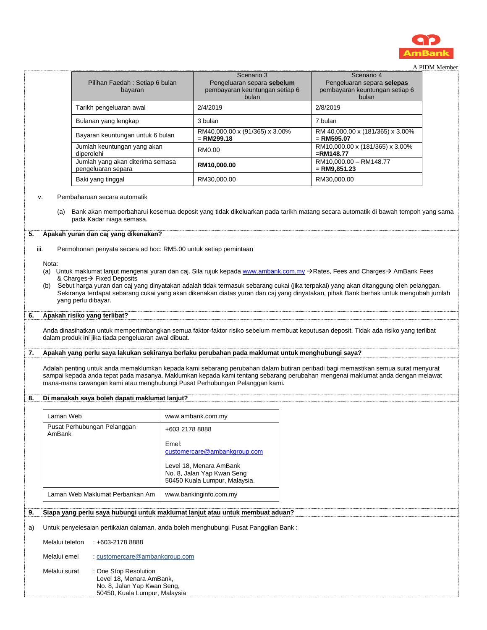

|  | A PIDM Member |
|--|---------------|
|  |               |

|                                               |                                                                                                                                                                                                                                                                                                                                                                                                                                                                                                                                                                                                                                                                                                                                                                                                                                                                                                                                                                                                                                                                                                                                                                                                                                                                                              |                |                                                                                                                              |          |                                                                                     | A PIDNI Member |
|-----------------------------------------------|----------------------------------------------------------------------------------------------------------------------------------------------------------------------------------------------------------------------------------------------------------------------------------------------------------------------------------------------------------------------------------------------------------------------------------------------------------------------------------------------------------------------------------------------------------------------------------------------------------------------------------------------------------------------------------------------------------------------------------------------------------------------------------------------------------------------------------------------------------------------------------------------------------------------------------------------------------------------------------------------------------------------------------------------------------------------------------------------------------------------------------------------------------------------------------------------------------------------------------------------------------------------------------------------|----------------|------------------------------------------------------------------------------------------------------------------------------|----------|-------------------------------------------------------------------------------------|----------------|
|                                               | Pilihan Faedah: Setiap 6 bulan<br>bayaran                                                                                                                                                                                                                                                                                                                                                                                                                                                                                                                                                                                                                                                                                                                                                                                                                                                                                                                                                                                                                                                                                                                                                                                                                                                    |                | Scenario 3<br>Pengeluaran separa sebelum<br>pembayaran keuntungan setiap 6<br>bulan                                          |          | Scenario 4<br>Pengeluaran separa selepas<br>pembayaran keuntungan setiap 6<br>bulan |                |
|                                               | Tarikh pengeluaran awal                                                                                                                                                                                                                                                                                                                                                                                                                                                                                                                                                                                                                                                                                                                                                                                                                                                                                                                                                                                                                                                                                                                                                                                                                                                                      |                | 2/4/2019                                                                                                                     | 2/8/2019 |                                                                                     |                |
|                                               | Bulanan yang lengkap                                                                                                                                                                                                                                                                                                                                                                                                                                                                                                                                                                                                                                                                                                                                                                                                                                                                                                                                                                                                                                                                                                                                                                                                                                                                         |                | 3 bulan                                                                                                                      | 7 bulan  |                                                                                     |                |
|                                               | Bayaran keuntungan untuk 6 bulan                                                                                                                                                                                                                                                                                                                                                                                                                                                                                                                                                                                                                                                                                                                                                                                                                                                                                                                                                                                                                                                                                                                                                                                                                                                             |                | RM40,000.00 x (91/365) x 3.00%<br>$= RM299.18$                                                                               |          | RM 40,000.00 x (181/365) x 3.00%<br>$=$ RM595.07                                    |                |
|                                               | Jumlah keuntungan yang akan<br>diperolehi                                                                                                                                                                                                                                                                                                                                                                                                                                                                                                                                                                                                                                                                                                                                                                                                                                                                                                                                                                                                                                                                                                                                                                                                                                                    |                | RM0.00                                                                                                                       |          | RM10,000.00 x (181/365) x 3.00%<br>$=$ RM148.77                                     |                |
|                                               | Jumlah yang akan diterima semasa<br>pengeluaran separa                                                                                                                                                                                                                                                                                                                                                                                                                                                                                                                                                                                                                                                                                                                                                                                                                                                                                                                                                                                                                                                                                                                                                                                                                                       |                | RM10,000.00                                                                                                                  |          | RM10,000.00 - RM148.77<br>$=$ RM9,851.23                                            |                |
|                                               | Baki yang tinggal                                                                                                                                                                                                                                                                                                                                                                                                                                                                                                                                                                                                                                                                                                                                                                                                                                                                                                                                                                                                                                                                                                                                                                                                                                                                            |                | RM30,000.00                                                                                                                  |          | RM30,000.00                                                                         |                |
| (a)<br>5.<br>iii.<br>Nota:<br>(b)<br>6.<br>7. | pada Kadar niaga semasa.<br>Apakah yuran dan caj yang dikenakan?<br>Permohonan penyata secara ad hoc: RM5.00 untuk setiap pemintaan<br>(a) Untuk maklumat lanjut mengenai yuran dan caj. Sila rujuk kepada www.ambank.com.my →Rates, Fees and Charges→ AmBank Fees<br>& Charges→ Fixed Deposits<br>Sebut harga yuran dan caj yang dinyatakan adalah tidak termasuk sebarang cukai (jika terpakai) yang akan ditanggung oleh pelanggan.<br>Sekiranya terdapat sebarang cukai yang akan dikenakan diatas yuran dan caj yang dinyatakan, pihak Bank berhak untuk mengubah jumlah<br>yang perlu dibayar.<br>Apakah risiko yang terlibat?<br>Anda dinasihatkan untuk mempertimbangkan semua faktor-faktor risiko sebelum membuat keputusan deposit. Tidak ada risiko yang terlibat<br>dalam produk ini jika tiada pengeluaran awal dibuat.<br>Apakah yang perlu saya lakukan sekiranya berlaku perubahan pada maklumat untuk menghubungi saya?<br>Adalah penting untuk anda memaklumkan kepada kami sebarang perubahan dalam butiran peribadi bagi memastikan semua surat menyurat<br>sampai kepada anda tepat pada masanya. Maklumkan kepada kami tentang sebarang perubahan mengenai maklumat anda dengan melawat<br>mana-mana cawangan kami atau menghubungi Pusat Perhubungan Pelanggan kami. |                | Bank akan memperbaharui kesemua deposit yang tidak dikeluarkan pada tarikh matang secara automatik di bawah tempoh yang sama |          |                                                                                     |                |
| 8.                                            | Di manakah saya boleh dapati maklumat lanjut?                                                                                                                                                                                                                                                                                                                                                                                                                                                                                                                                                                                                                                                                                                                                                                                                                                                                                                                                                                                                                                                                                                                                                                                                                                                |                |                                                                                                                              |          |                                                                                     |                |
| Laman Web                                     |                                                                                                                                                                                                                                                                                                                                                                                                                                                                                                                                                                                                                                                                                                                                                                                                                                                                                                                                                                                                                                                                                                                                                                                                                                                                                              |                | www.ambank.com.my                                                                                                            |          |                                                                                     |                |
|                                               | Pusat Perhubungan Pelanggan                                                                                                                                                                                                                                                                                                                                                                                                                                                                                                                                                                                                                                                                                                                                                                                                                                                                                                                                                                                                                                                                                                                                                                                                                                                                  | +603 2178 8888 |                                                                                                                              |          |                                                                                     |                |
| AmBank                                        |                                                                                                                                                                                                                                                                                                                                                                                                                                                                                                                                                                                                                                                                                                                                                                                                                                                                                                                                                                                                                                                                                                                                                                                                                                                                                              | Emel:          | customercare@ambankgroup.com<br>Level 18, Menara AmBank<br>No. 8, Jalan Yap Kwan Seng<br>50450 Kuala Lumpur, Malaysia.       |          |                                                                                     |                |
|                                               | Laman Web Maklumat Perbankan Am                                                                                                                                                                                                                                                                                                                                                                                                                                                                                                                                                                                                                                                                                                                                                                                                                                                                                                                                                                                                                                                                                                                                                                                                                                                              |                | www.bankinginfo.com.my                                                                                                       |          |                                                                                     |                |
| 9.                                            | Siapa yang perlu saya hubungi untuk maklumat lanjut atau untuk membuat aduan?                                                                                                                                                                                                                                                                                                                                                                                                                                                                                                                                                                                                                                                                                                                                                                                                                                                                                                                                                                                                                                                                                                                                                                                                                |                |                                                                                                                              |          |                                                                                     |                |
| a)                                            | Untuk penyelesaian pertikaian dalaman, anda boleh menghubungi Pusat Panggilan Bank:                                                                                                                                                                                                                                                                                                                                                                                                                                                                                                                                                                                                                                                                                                                                                                                                                                                                                                                                                                                                                                                                                                                                                                                                          |                |                                                                                                                              |          |                                                                                     |                |
| Melalui telefon                               | $: +603-21788888$                                                                                                                                                                                                                                                                                                                                                                                                                                                                                                                                                                                                                                                                                                                                                                                                                                                                                                                                                                                                                                                                                                                                                                                                                                                                            |                |                                                                                                                              |          |                                                                                     |                |
| Melalui emel                                  | : customercare@ambankgroup.com                                                                                                                                                                                                                                                                                                                                                                                                                                                                                                                                                                                                                                                                                                                                                                                                                                                                                                                                                                                                                                                                                                                                                                                                                                                               |                |                                                                                                                              |          |                                                                                     |                |
| Melalui surat                                 | : One Stop Resolution<br>Level 18, Menara AmBank,<br>No. 8, Jalan Yap Kwan Seng,<br>50450, Kuala Lumpur, Malaysia                                                                                                                                                                                                                                                                                                                                                                                                                                                                                                                                                                                                                                                                                                                                                                                                                                                                                                                                                                                                                                                                                                                                                                            |                |                                                                                                                              |          |                                                                                     |                |